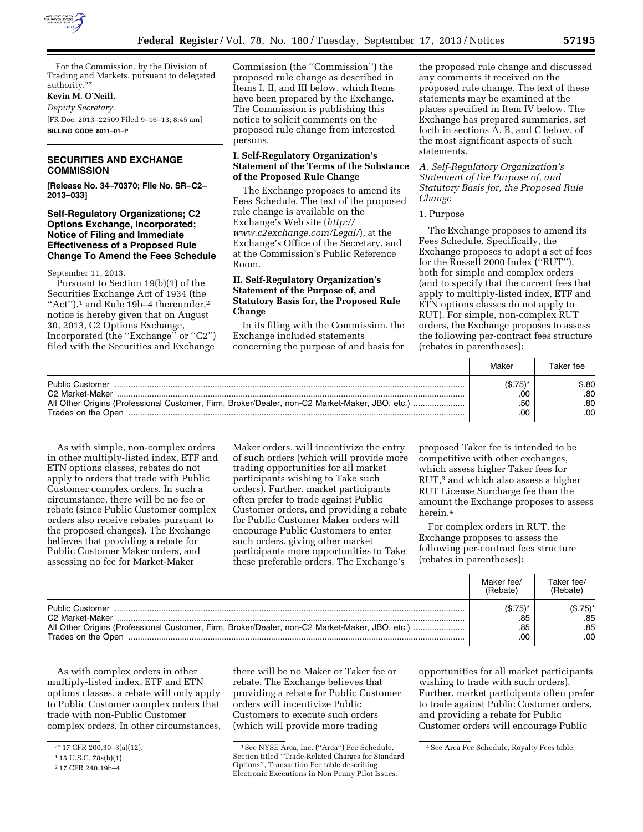

For the Commission, by the Division of Trading and Markets, pursuant to delegated authority.27

# **Kevin M. O'Neill,**

*Deputy Secretary.*  [FR Doc. 2013–22509 Filed 9–16–13; 8:45 am] **BILLING CODE 8011–01–P** 

# **SECURITIES AND EXCHANGE COMMISSION**

**[Release No. 34–70370; File No. SR–C2– 2013–033]** 

## **Self-Regulatory Organizations; C2 Options Exchange, Incorporated; Notice of Filing and Immediate Effectiveness of a Proposed Rule Change To Amend the Fees Schedule**

September 11, 2013.

Pursuant to Section 19(b)(1) of the Securities Exchange Act of 1934 (the "Act"),<sup>1</sup> and Rule 19b-4 thereunder,<sup>2</sup> notice is hereby given that on August 30, 2013, C2 Options Exchange, Incorporated (the ''Exchange'' or ''C2'') filed with the Securities and Exchange

Commission (the ''Commission'') the proposed rule change as described in Items I, II, and III below, which Items have been prepared by the Exchange. The Commission is publishing this notice to solicit comments on the proposed rule change from interested persons.

# **I. Self-Regulatory Organization's Statement of the Terms of the Substance of the Proposed Rule Change**

The Exchange proposes to amend its Fees Schedule. The text of the proposed rule change is available on the Exchange's Web site (*[http://](http://www.c2exchange.com/Legal/) [www.c2exchange.com/Legal/](http://www.c2exchange.com/Legal/)*), at the Exchange's Office of the Secretary, and at the Commission's Public Reference Room.

# **II. Self-Regulatory Organization's Statement of the Purpose of, and Statutory Basis for, the Proposed Rule Change**

In its filing with the Commission, the Exchange included statements concerning the purpose of and basis for the proposed rule change and discussed any comments it received on the proposed rule change. The text of these statements may be examined at the places specified in Item IV below. The Exchange has prepared summaries, set forth in sections A, B, and C below, of the most significant aspects of such statements.

# *A. Self-Regulatory Organization's Statement of the Purpose of, and Statutory Basis for, the Proposed Rule Change*

### 1. Purpose

The Exchange proposes to amend its Fees Schedule. Specifically, the Exchange proposes to adopt a set of fees for the Russell 2000 Index (''RUT''), both for simple and complex orders (and to specify that the current fees that apply to multiply-listed index, ETF and ETN options classes do not apply to RUT). For simple, non-complex RUT orders, the Exchange proposes to assess the following per-contract fees structure (rebates in parentheses):

|                                                                                                                                                                   | Makeı                           | Taker fee                 |
|-------------------------------------------------------------------------------------------------------------------------------------------------------------------|---------------------------------|---------------------------|
| <b>Public Customer</b><br>C2 Market-Maker<br>All Other Origins (Professional Customer, Firm, Broker/Dealer, non-C2 Market-Maker, JBO, etc.)<br>Trades on the Open | $($.75)^*$<br>.00<br>.50<br>.00 | \$.80<br>.80<br>.80<br>00 |

As with simple, non-complex orders in other multiply-listed index, ETF and ETN options classes, rebates do not apply to orders that trade with Public Customer complex orders. In such a circumstance, there will be no fee or rebate (since Public Customer complex orders also receive rebates pursuant to the proposed changes). The Exchange believes that providing a rebate for Public Customer Maker orders, and assessing no fee for Market-Maker

Maker orders, will incentivize the entry of such orders (which will provide more trading opportunities for all market participants wishing to Take such orders). Further, market participants often prefer to trade against Public Customer orders, and providing a rebate for Public Customer Maker orders will encourage Public Customers to enter such orders, giving other market participants more opportunities to Take these preferable orders. The Exchange's

proposed Taker fee is intended to be competitive with other exchanges, which assess higher Taker fees for RUT,3 and which also assess a higher RUT License Surcharge fee than the amount the Exchange proposes to assess herein.4

For complex orders in RUT, the Exchange proposes to assess the following per-contract fees structure (rebates in parentheses):

|                                                                                                                                      | Maker fee/<br>(Rebate)          | Taker fee/<br>(Rebate)          |
|--------------------------------------------------------------------------------------------------------------------------------------|---------------------------------|---------------------------------|
| Public Customer<br>C2 Market-Maker<br>All Other Origins (Professional Customer, Firm, Broker/Dealer, non-C2 Market-Maker, JBO, etc.) | $(S.75)^*$<br>.85<br>.85<br>.00 | $($.75)^*$<br>.85<br>.85<br>.00 |

As with complex orders in other multiply-listed index, ETF and ETN options classes, a rebate will only apply to Public Customer complex orders that trade with non-Public Customer complex orders. In other circumstances, there will be no Maker or Taker fee or rebate. The Exchange believes that providing a rebate for Public Customer orders will incentivize Public Customers to execute such orders (which will provide more trading

opportunities for all market participants wishing to trade with such orders). Further, market participants often prefer to trade against Public Customer orders, and providing a rebate for Public Customer orders will encourage Public

<sup>27</sup> 17 CFR 200.30–3(a)(12).

<sup>1</sup> 15 U.S.C. 78s(b)(1).

<sup>2</sup> 17 CFR 240.19b–4.

<sup>3</sup>See NYSE Arca, Inc. (''Arca'') Fee Schedule, Section titled ''Trade-Related Charges for Standard Options'', Transaction Fee table describing Electronic Executions in Non Penny Pilot Issues.

<sup>4</sup>See Arca Fee Schedule, Royalty Fees table.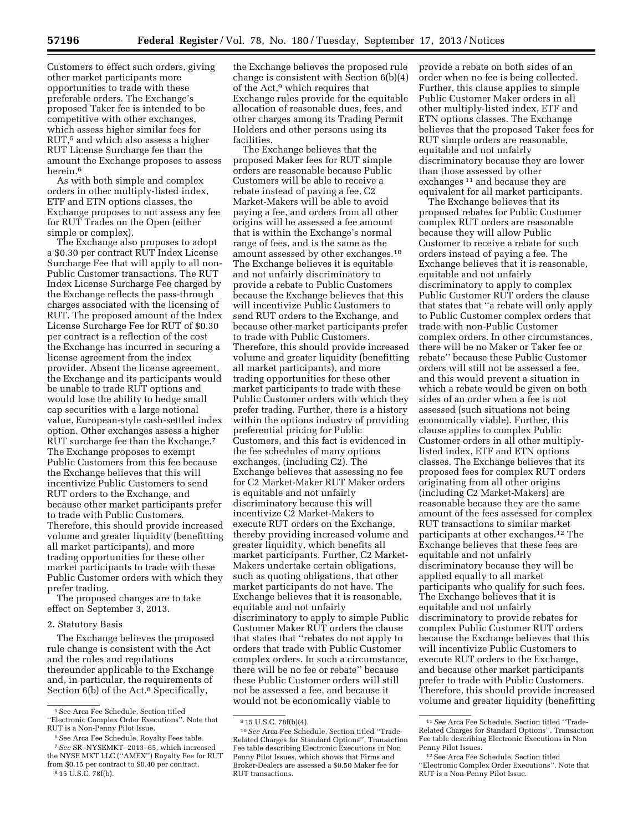Customers to effect such orders, giving other market participants more opportunities to trade with these preferable orders. The Exchange's proposed Taker fee is intended to be competitive with other exchanges, which assess higher similar fees for RUT,5 and which also assess a higher RUT License Surcharge fee than the amount the Exchange proposes to assess herein.6

As with both simple and complex orders in other multiply-listed index, ETF and ETN options classes, the Exchange proposes to not assess any fee for RUT Trades on the Open (either simple or complex).

The Exchange also proposes to adopt a \$0.30 per contract RUT Index License Surcharge Fee that will apply to all non-Public Customer transactions. The RUT Index License Surcharge Fee charged by the Exchange reflects the pass-through charges associated with the licensing of RUT. The proposed amount of the Index License Surcharge Fee for RUT of \$0.30 per contract is a reflection of the cost the Exchange has incurred in securing a license agreement from the index provider. Absent the license agreement, the Exchange and its participants would be unable to trade RUT options and would lose the ability to hedge small cap securities with a large notional value, European-style cash-settled index option. Other exchanges assess a higher RUT surcharge fee than the Exchange.<sup>7</sup> The Exchange proposes to exempt Public Customers from this fee because the Exchange believes that this will incentivize Public Customers to send RUT orders to the Exchange, and because other market participants prefer to trade with Public Customers. Therefore, this should provide increased volume and greater liquidity (benefitting all market participants), and more trading opportunities for these other market participants to trade with these Public Customer orders with which they prefer trading.

The proposed changes are to take effect on September 3, 2013.

2. Statutory Basis

The Exchange believes the proposed rule change is consistent with the Act and the rules and regulations thereunder applicable to the Exchange and, in particular, the requirements of Section 6(b) of the Act.<sup>8</sup> Specifically,

The Exchange believes that the proposed Maker fees for RUT simple orders are reasonable because Public Customers will be able to receive a rebate instead of paying a fee, C2 Market-Makers will be able to avoid paying a fee, and orders from all other origins will be assessed a fee amount that is within the Exchange's normal range of fees, and is the same as the amount assessed by other exchanges.10 The Exchange believes it is equitable and not unfairly discriminatory to provide a rebate to Public Customers because the Exchange believes that this will incentivize Public Customers to send RUT orders to the Exchange, and because other market participants prefer to trade with Public Customers. Therefore, this should provide increased volume and greater liquidity (benefitting all market participants), and more trading opportunities for these other market participants to trade with these Public Customer orders with which they prefer trading. Further, there is a history within the options industry of providing preferential pricing for Public Customers, and this fact is evidenced in the fee schedules of many options exchanges, (including C2). The Exchange believes that assessing no fee for C2 Market-Maker RUT Maker orders is equitable and not unfairly discriminatory because this will incentivize C2 Market-Makers to execute RUT orders on the Exchange, thereby providing increased volume and greater liquidity, which benefits all market participants. Further, C2 Market-Makers undertake certain obligations, such as quoting obligations, that other market participants do not have. The Exchange believes that it is reasonable, equitable and not unfairly discriminatory to apply to simple Public Customer Maker RUT orders the clause that states that ''rebates do not apply to orders that trade with Public Customer complex orders. In such a circumstance, there will be no fee or rebate'' because these Public Customer orders will still not be assessed a fee, and because it would not be economically viable to

provide a rebate on both sides of an order when no fee is being collected. Further, this clause applies to simple Public Customer Maker orders in all other multiply-listed index, ETF and ETN options classes. The Exchange believes that the proposed Taker fees for RUT simple orders are reasonable, equitable and not unfairly discriminatory because they are lower than those assessed by other exchanges<sup>11</sup> and because they are equivalent for all market participants.

The Exchange believes that its proposed rebates for Public Customer complex RUT orders are reasonable because they will allow Public Customer to receive a rebate for such orders instead of paying a fee. The Exchange believes that it is reasonable, equitable and not unfairly discriminatory to apply to complex Public Customer RUT orders the clause that states that ''a rebate will only apply to Public Customer complex orders that trade with non-Public Customer complex orders. In other circumstances, there will be no Maker or Taker fee or rebate'' because these Public Customer orders will still not be assessed a fee, and this would prevent a situation in which a rebate would be given on both sides of an order when a fee is not assessed (such situations not being economically viable). Further, this clause applies to complex Public Customer orders in all other multiplylisted index, ETF and ETN options classes. The Exchange believes that its proposed fees for complex RUT orders originating from all other origins (including C2 Market-Makers) are reasonable because they are the same amount of the fees assessed for complex RUT transactions to similar market participants at other exchanges.12 The Exchange believes that these fees are equitable and not unfairly discriminatory because they will be applied equally to all market participants who qualify for such fees. The Exchange believes that it is equitable and not unfairly discriminatory to provide rebates for complex Public Customer RUT orders because the Exchange believes that this will incentivize Public Customers to execute RUT orders to the Exchange, and because other market participants prefer to trade with Public Customers. Therefore, this should provide increased volume and greater liquidity (benefitting

<sup>5</sup>See Arca Fee Schedule, Section titled ''Electronic Complex Order Executions''. Note that RUT is a Non-Penny Pilot Issue.

<sup>&</sup>lt;sup>6</sup> See Arca Fee Schedule, Royalty Fees table.

<sup>7</sup>*See* SR–NYSEMKT–2013–65, which increased the NYSE MKT LLC (''AMEX'') Royalty Fee for RUT from \$0.15 per contract to \$0.40 per contract. 8 15 U.S.C. 78f(b).

the Exchange believes the proposed rule change is consistent with Section 6(b)(4) of the Act,9 which requires that Exchange rules provide for the equitable allocation of reasonable dues, fees, and other charges among its Trading Permit Holders and other persons using its facilities.

<sup>&</sup>lt;sup>9</sup> 15 U.S.C. 78f(b)(4).

<sup>10</sup>*See* Arca Fee Schedule, Section titled ''Trade-Related Charges for Standard Options'', Transaction Fee table describing Electronic Executions in Non Penny Pilot Issues, which shows that Firms and Broker-Dealers are assessed a \$0.50 Maker fee for RUT transactions.

<sup>11</sup>*See* Arca Fee Schedule, Section titled ''Trade-Related Charges for Standard Options'', Transaction Fee table describing Electronic Executions in Non Penny Pilot Issues.

<sup>12</sup>See Arca Fee Schedule, Section titled ''Electronic Complex Order Executions''. Note that RUT is a Non-Penny Pilot Issue.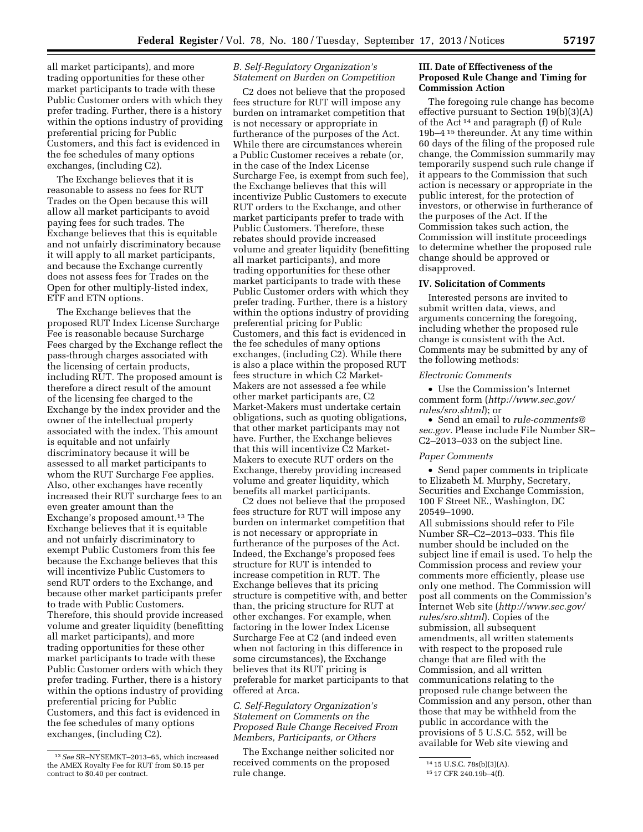all market participants), and more trading opportunities for these other market participants to trade with these Public Customer orders with which they prefer trading. Further, there is a history within the options industry of providing preferential pricing for Public Customers, and this fact is evidenced in the fee schedules of many options exchanges, (including C2).

The Exchange believes that it is reasonable to assess no fees for RUT Trades on the Open because this will allow all market participants to avoid paying fees for such trades. The Exchange believes that this is equitable and not unfairly discriminatory because it will apply to all market participants, and because the Exchange currently does not assess fees for Trades on the Open for other multiply-listed index, ETF and ETN options.

The Exchange believes that the proposed RUT Index License Surcharge Fee is reasonable because Surcharge Fees charged by the Exchange reflect the pass-through charges associated with the licensing of certain products, including RUT. The proposed amount is therefore a direct result of the amount of the licensing fee charged to the Exchange by the index provider and the owner of the intellectual property associated with the index. This amount is equitable and not unfairly discriminatory because it will be assessed to all market participants to whom the RUT Surcharge Fee applies. Also, other exchanges have recently increased their RUT surcharge fees to an even greater amount than the Exchange's proposed amount.13 The Exchange believes that it is equitable and not unfairly discriminatory to exempt Public Customers from this fee because the Exchange believes that this will incentivize Public Customers to send RUT orders to the Exchange, and because other market participants prefer to trade with Public Customers. Therefore, this should provide increased volume and greater liquidity (benefitting all market participants), and more trading opportunities for these other market participants to trade with these Public Customer orders with which they prefer trading. Further, there is a history within the options industry of providing preferential pricing for Public Customers, and this fact is evidenced in the fee schedules of many options exchanges, (including C2).

# *B. Self-Regulatory Organization's Statement on Burden on Competition*

C2 does not believe that the proposed fees structure for RUT will impose any burden on intramarket competition that is not necessary or appropriate in furtherance of the purposes of the Act. While there are circumstances wherein a Public Customer receives a rebate (or, in the case of the Index License Surcharge Fee, is exempt from such fee), the Exchange believes that this will incentivize Public Customers to execute RUT orders to the Exchange, and other market participants prefer to trade with Public Customers. Therefore, these rebates should provide increased volume and greater liquidity (benefitting all market participants), and more trading opportunities for these other market participants to trade with these Public Customer orders with which they prefer trading. Further, there is a history within the options industry of providing preferential pricing for Public Customers, and this fact is evidenced in the fee schedules of many options exchanges, (including C2). While there is also a place within the proposed RUT fees structure in which C2 Market-Makers are not assessed a fee while other market participants are, C2 Market-Makers must undertake certain obligations, such as quoting obligations, that other market participants may not have. Further, the Exchange believes that this will incentivize C2 Market-Makers to execute RUT orders on the Exchange, thereby providing increased volume and greater liquidity, which benefits all market participants.

C2 does not believe that the proposed fees structure for RUT will impose any burden on intermarket competition that is not necessary or appropriate in furtherance of the purposes of the Act. Indeed, the Exchange's proposed fees structure for RUT is intended to increase competition in RUT. The Exchange believes that its pricing structure is competitive with, and better than, the pricing structure for RUT at other exchanges. For example, when factoring in the lower Index License Surcharge Fee at C2 (and indeed even when not factoring in this difference in some circumstances), the Exchange believes that its RUT pricing is preferable for market participants to that offered at Arca.

## *C. Self-Regulatory Organization's Statement on Comments on the Proposed Rule Change Received From Members, Participants, or Others*

The Exchange neither solicited nor received comments on the proposed rule change.

## **III. Date of Effectiveness of the Proposed Rule Change and Timing for Commission Action**

The foregoing rule change has become effective pursuant to Section 19(b)(3)(A) of the Act 14 and paragraph (f) of Rule 19b–4 15 thereunder. At any time within 60 days of the filing of the proposed rule change, the Commission summarily may temporarily suspend such rule change if it appears to the Commission that such action is necessary or appropriate in the public interest, for the protection of investors, or otherwise in furtherance of the purposes of the Act. If the Commission takes such action, the Commission will institute proceedings to determine whether the proposed rule change should be approved or disapproved.

## **IV. Solicitation of Comments**

Interested persons are invited to submit written data, views, and arguments concerning the foregoing, including whether the proposed rule change is consistent with the Act. Comments may be submitted by any of the following methods:

#### *Electronic Comments*

• Use the Commission's Internet comment form (*[http://www.sec.gov/](http://www.sec.gov/rules/sro.shtml) [rules/sro.shtml](http://www.sec.gov/rules/sro.shtml)*); or

• Send an email to *[rule-comments@](mailto:rule-comments@sec.gov) [sec.gov.](mailto:rule-comments@sec.gov)* Please include File Number SR– C2–2013–033 on the subject line.

### *Paper Comments*

• Send paper comments in triplicate to Elizabeth M. Murphy, Secretary, Securities and Exchange Commission, 100 F Street NE., Washington, DC 20549–1090.

All submissions should refer to File Number SR–C2–2013–033. This file number should be included on the subject line if email is used. To help the Commission process and review your comments more efficiently, please use only one method. The Commission will post all comments on the Commission's Internet Web site (*[http://www.sec.gov/](http://www.sec.gov/rules/sro.shtml) [rules/sro.shtml](http://www.sec.gov/rules/sro.shtml)*). Copies of the submission, all subsequent amendments, all written statements with respect to the proposed rule change that are filed with the Commission, and all written communications relating to the proposed rule change between the Commission and any person, other than those that may be withheld from the public in accordance with the provisions of 5 U.S.C. 552, will be available for Web site viewing and

<sup>13</sup>*See* SR–NYSEMKT–2013–65, which increased the AMEX Royalty Fee for RUT from \$0.15 per contract to \$0.40 per contract.

<sup>14</sup> 15 U.S.C. 78s(b)(3)(A).

<sup>15</sup> 17 CFR 240.19b–4(f).